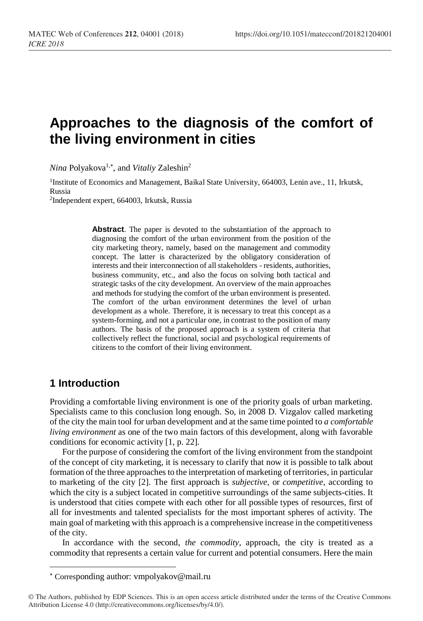# **Approaches to the diagnosis of the comfort of the living environment in cities**

*Nina* Polyakova<sup>1,\*</sup>, and *Vitaliy* Zaleshin<sup>2</sup>

<sup>1</sup>Institute of Economics and Management, Baikal State University, 664003, Lenin ave., 11, Irkutsk, Russia

2 Independent expert, 664003, Irkutsk, Russia

**Abstract**. The paper is devoted to the substantiation of the approach to diagnosing the comfort of the urban environment from the position of the city marketing theory, namely, based on the management and commodity concept. The latter is characterized by the obligatory consideration of interests and their interconnection of all stakeholders - residents, authorities, business community, etc., and also the focus on solving both tactical and strategic tasks of the city development. An overview of the main approaches and methods for studying the comfort of the urban environment is presented. The comfort of the urban environment determines the level of urban development as a whole. Therefore, it is necessary to treat this concept as a system-forming, and not a particular one, in contrast to the position of many authors. The basis of the proposed approach is a system of criteria that collectively reflect the functional, social and psychological requirements of citizens to the comfort of their living environment.

#### **1 Introduction**

l

Providing a comfortable living environment is one of the priority goals of urban marketing. Specialists came to this conclusion long enough. So, in 2008 D. Vizgalov called marketing of the city the main tool for urban development and at the same time pointed to *a comfortable living environment* as one of the two main factors of this development, along with favorable conditions for economic activity [1, p. 22].

For the purpose of considering the comfort of the living environment from the standpoint of the concept of city marketing, it is necessary to clarify that now it is possible to talk about formation of the three approaches to the interpretation of marketing of territories, in particular to marketing of the city [2]. The first approach is *subjective,* or *competitive*, according to which the city is a subject located in competitive surroundings of the same subjects-cities. It is understood that cities compete with each other for all possible types of resources, first of all for investments and talented specialists for the most important spheres of activity. The main goal of marketing with this approach is a comprehensive increase in the competitiveness of the city.

In accordance with the second, *the commodity,* approach, the city is treated as a commodity that represents a certain value for current and potential consumers. Here the main

Corresponding author: [vmpolyakov@mail.ru](mailto:vmpolyakov@mail.ru)

<sup>©</sup> The Authors, published by EDP Sciences. This is an open access article distributed under the terms of the Creative Commons Attribution License 4.0 (http://creativecommons.org/licenses/by/4.0/).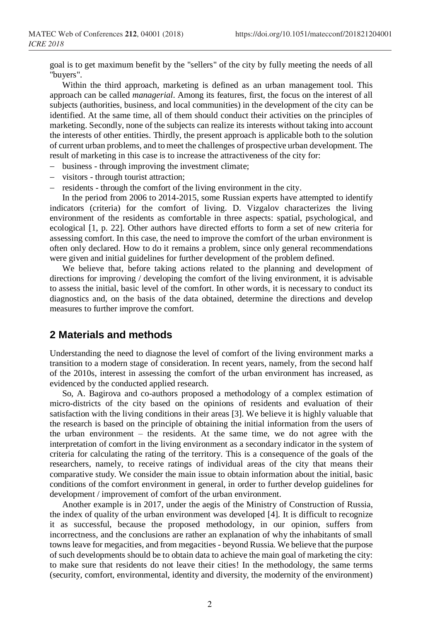goal is to get maximum benefit by the "sellers" of the city by fully meeting the needs of all "buyers".

Within the third approach, marketing is defined as an urban management tool. This approach can be called *managerial*. Among its features, first, the focus on the interest of all subjects (authorities, business, and local communities) in the development of the city can be identified. At the same time, all of them should conduct their activities on the principles of marketing. Secondly, none of the subjects can realize its interests without taking into account the interests of other entities. Thirdly, the present approach is applicable both to the solution of current urban problems, and to meet the challenges of prospective urban development. The result of marketing in this case is to increase the attractiveness of the city for:

- − business through improving the investment climate;
- − visitors through tourist attraction;
- − residents through the comfort of the living environment in the city.

In the period from 2006 to 2014-2015, some Russian experts have attempted to identify indicators (criteria) for the comfort of living. D. Vizgalov characterizes the living environment of the residents as comfortable in three aspects: spatial, psychological, and ecological [1, p. 22]. Other authors have directed efforts to form a set of new criteria for assessing comfort. In this case, the need to improve the comfort of the urban environment is often only declared. How to do it remains a problem, since only general recommendations were given and initial guidelines for further development of the problem defined.

We believe that, before taking actions related to the planning and development of directions for improving / developing the comfort of the living environment, it is advisable to assess the initial, basic level of the comfort. In other words, it is necessary to conduct its diagnostics and, on the basis of the data obtained, determine the directions and develop measures to further improve the comfort.

#### **2 Materials and methods**

Understanding the need to diagnose the level of comfort of the living environment marks a transition to a modern stage of consideration. In recent years, namely, from the second half of the 2010s, interest in assessing the comfort of the urban environment has increased, as evidenced by the conducted applied research.

So, A. Bagirova and co-authors proposed a methodology of a complex estimation of micro-districts of the city based on the opinions of residents and evaluation of their satisfaction with the living conditions in their areas [3]. We believe it is highly valuable that the research is based on the principle of obtaining the initial information from the users of the urban environment – the residents. At the same time, we do not agree with the interpretation of comfort in the living environment as a secondary indicator in the system of criteria for calculating the rating of the territory. This is a consequence of the goals of the researchers, namely, to receive ratings of individual areas of the city that means their comparative study. We consider the main issue to obtain information about the initial, basic conditions of the comfort environment in general, in order to further develop guidelines for development / improvement of comfort of the urban environment.

Another example is in 2017, under the aegis of the Ministry of Construction of Russia, the index of quality of the urban environment was developed [4]. It is difficult to recognize it as successful, because the proposed methodology, in our opinion, suffers from incorrectness, and the conclusions are rather an explanation of why the inhabitants of small towns leave for megacities, and from megacities - beyond Russia. We believe that the purpose of such developments should be to obtain data to achieve the main goal of marketing the city: to make sure that residents do not leave their cities! In the methodology, the same terms (security, comfort, environmental, identity and diversity, the modernity of the environment)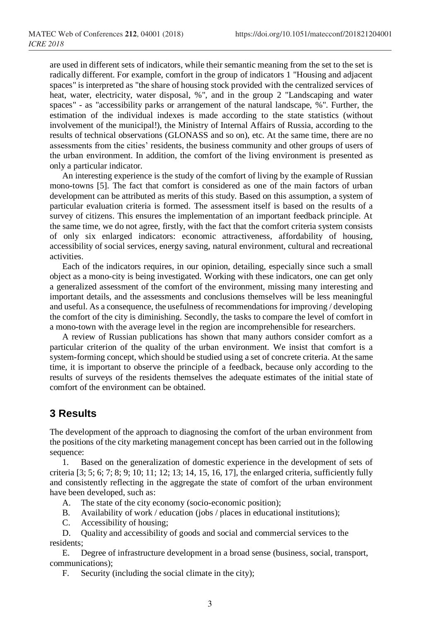are used in different sets of indicators, while their semantic meaning from the set to the set is radically different. For example, comfort in the group of indicators 1 "Housing and adjacent spaces" is interpreted as "the share of housing stock provided with the centralized services of heat, water, electricity, water disposal, %", and in the group 2 "Landscaping and water spaces" - as "accessibility parks or arrangement of the natural landscape, %". Further, the estimation of the individual indexes is made according to the state statistics (without involvement of the municipal!), the Ministry of Internal Affairs of Russia, according to the results of technical observations (GLONASS and so on), etc. At the same time, there are no assessments from the cities' residents, the business community and other groups of users of the urban environment. In addition, the comfort of the living environment is presented as only a particular indicator.

An interesting experience is the study of the comfort of living by the example of Russian mono-towns [5]. The fact that comfort is considered as one of the main factors of urban development can be attributed as merits of this study. Based on this assumption, a system of particular evaluation criteria is formed. The assessment itself is based on the results of a survey of citizens. This ensures the implementation of an important feedback principle. At the same time, we do not agree, firstly, with the fact that the comfort criteria system consists of only six enlarged indicators: economic attractiveness, affordability of housing, accessibility of social services, energy saving, natural environment, cultural and recreational activities.

Each of the indicators requires, in our opinion, detailing, especially since such a small object as a mono-city is being investigated. Working with these indicators, one can get only a generalized assessment of the comfort of the environment, missing many interesting and important details, and the assessments and conclusions themselves will be less meaningful and useful. As a consequence, the usefulness of recommendations for improving / developing the comfort of the city is diminishing. Secondly, the tasks to compare the level of comfort in a mono-town with the average level in the region are incomprehensible for researchers.

A review of Russian publications has shown that many authors consider comfort as a particular criterion of the quality of the urban environment. We insist that comfort is a system-forming concept, which should be studied using a set of concrete criteria. At the same time, it is important to observe the principle of a feedback, because only according to the results of surveys of the residents themselves the adequate estimates of the initial state of comfort of the environment can be obtained.

## **3 Results**

The development of the approach to diagnosing the comfort of the urban environment from the positions of the city marketing management concept has been carried out in the following sequence:

1. Based on the generalization of domestic experience in the development of sets of criteria [3; 5; 6; 7; 8; 9; 10; 11; 12; 13; 14, 15, 16, 17], the enlarged criteria, sufficiently fully and consistently reflecting in the aggregate the state of comfort of the urban environment have been developed, such as:

- A. The state of the city economy (socio-economic position);
- B. Availability of work / education (jobs / places in educational institutions);
- C. Accessibility of housing;

D. Quality and accessibility of goods and social and commercial services to the residents;

E. Degree of infrastructure development in a broad sense (business, social, transport, communications);

F. Security (including the social climate in the city);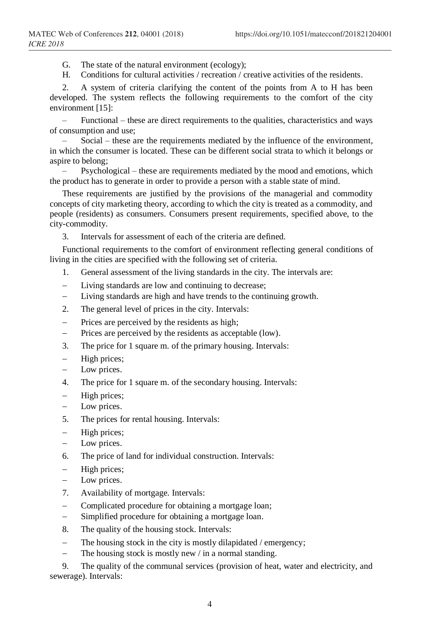G. The state of the natural environment (ecology);

H. Conditions for cultural activities / recreation / creative activities of the residents.

2. A system of criteria clarifying the content of the points from A to H has been developed. The system reflects the following requirements to the comfort of the city environment [15]:

– Functional – these are direct requirements to the qualities, characteristics and ways of consumption and use;

– Social – these are the requirements mediated by the influence of the environment, in which the consumer is located. These can be different social strata to which it belongs or aspire to belong;

– Psychological – these are requirements mediated by the mood and emotions, which the product has to generate in order to provide a person with a stable state of mind.

These requirements are justified by the provisions of the managerial and commodity concepts of city marketing theory, according to which the city is treated as a commodity, and people (residents) as consumers. Consumers present requirements, specified above, to the city-commodity.

3. Intervals for assessment of each of the criteria are defined.

Functional requirements to the comfort of environment reflecting general conditions of living in the cities are specified with the following set of criteria.

- 1. General assessment of the living standards in the city. The intervals are:
- − Living standards are low and continuing to decrease;
- − Living standards are high and have trends to the continuing growth.
- 2. The general level of prices in the city. Intervals:
- Prices are perceived by the residents as high;
- − Prices are perceived by the residents as acceptable (low).
- 3. The price for 1 square m. of the primary housing. Intervals:
- − High prices;
- − Low prices.
- 4. The price for 1 square m. of the secondary housing. Intervals:
- − High prices;
- Low prices.
- 5. The prices for rental housing. Intervals:
- − High prices;
- Low prices.
- 6. The price of land for individual construction. Intervals:
- − High prices;
- Low prices.
- 7. Availability of mortgage. Intervals:
- Complicated procedure for obtaining a mortgage loan;
- − Simplified procedure for obtaining a mortgage loan.
- 8. The quality of the housing stock. Intervals:
- The housing stock in the city is mostly dilapidated  $/$  emergency;
- − The housing stock is mostly new / in a normal standing.

9. The quality of the communal services (provision of heat, water and electricity, and sewerage). Intervals: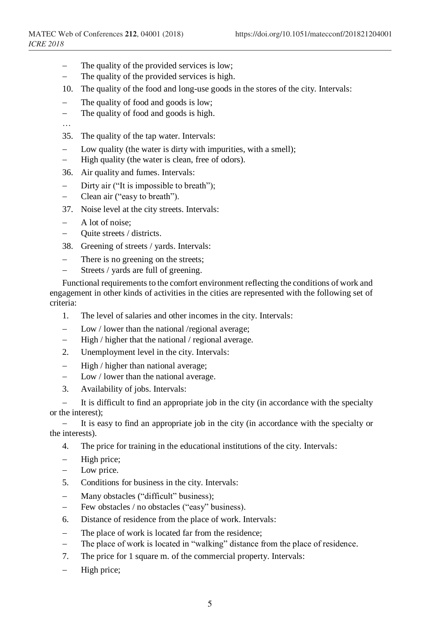- The quality of the provided services is low;
- − The quality of the provided services is high.
- 10. The quality of the food and long-use goods in the stores of the city. Intervals:
- The quality of food and goods is low;
- − The quality of food and goods is high.
- …
- 35. The quality of the tap water. Intervals:
- Low quality (the water is dirty with impurities, with a smell);
- − High quality (the water is clean, free of odors).
- 36. Air quality and fumes. Intervals:
- − Dirty air ("It is impossible to breath");
- − Clean air ("easy to breath").
- 37. Noise level at the city streets. Intervals:
- − A lot of noise;
- − Quite streets / districts.
- 38. Greening of streets / yards. Intervals:
- − There is no greening on the streets;
- − Streets / yards are full of greening.

Functional requirements to the comfort environment reflecting the conditions of work and engagement in other kinds of activities in the cities are represented with the following set of criteria:

- 1. The level of salaries and other incomes in the city. Intervals:
- − Low / lower than the national /regional average;
- High / higher that the national / regional average.
- 2. Unemployment level in the city. Intervals:
- − High / higher than national average;
- − Low / lower than the national average.
- 3. Availability of jobs. Intervals:

It is difficult to find an appropriate job in the city (in accordance with the specialty or the interest);

It is easy to find an appropriate job in the city (in accordance with the specialty or the interests).

- 4. The price for training in the educational institutions of the city. Intervals:
- High price;
- Low price.
- 5. Conditions for business in the city. Intervals:
- − Many obstacles ("difficult" business);
- − Few obstacles / no obstacles ("easy" business).
- 6. Distance of residence from the place of work. Intervals:
- The place of work is located far from the residence;
- − The place of work is located in "walking" distance from the place of residence.
- 7. The price for 1 square m. of the commercial property. Intervals:
- − High price;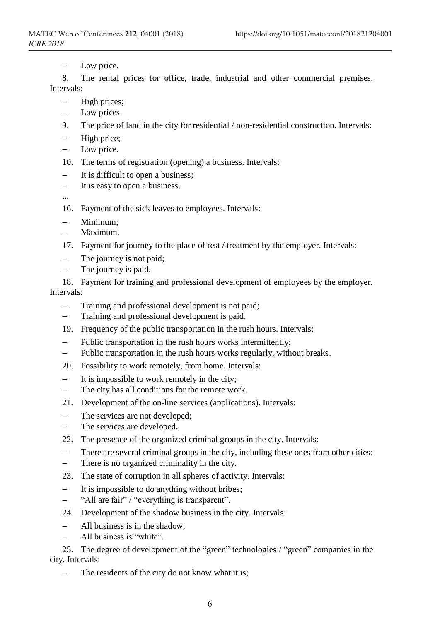Low price.

8. The rental prices for office, trade, industrial and other commercial premises. Intervals:

- − High prices;
- − Low prices.
- 9. The price of land in the city for residential / non-residential construction. Intervals:
- − High price;
- Low price.
- 10. The terms of registration (opening) a business. Intervals:
- − It is difficult to open a business;
- − It is easy to open a business.
- ...
- 16. Payment of the sick leaves to employees. Intervals:
- − Minimum;
- − Maximum.
- 17. Payment for journey to the place of rest / treatment by the employer. Intervals:
- − The journey is not paid;
- The journey is paid.

18. Payment for training and professional development of employees by the employer. Intervals:

- Training and professional development is not paid;
- − Training and professional development is paid.
- 19. Frequency of the public transportation in the rush hours. Intervals:
- − Public transportation in the rush hours works intermittently;
- − Public transportation in the rush hours works regularly, without breaks.
- 20. Possibility to work remotely, from home. Intervals:
- − It is impossible to work remotely in the city;
- − The city has all conditions for the remote work.
- 21. Development of the on-line services (applications). Intervals:
- − The services are not developed;
- − The services are developed.
- 22. The presence of the organized criminal groups in the city. Intervals:
- − There are several criminal groups in the city, including these ones from other cities;
- There is no organized criminality in the city.
- 23. The state of corruption in all spheres of activity. Intervals:
- − It is impossible to do anything without bribes;
- − "All are fair" / "everything is transparent".
- 24. Development of the shadow business in the city. Intervals:
- − All business is in the shadow;
- − All business is "white".

25. The degree of development of the "green" technologies / "green" companies in the city. Intervals:

− The residents of the city do not know what it is;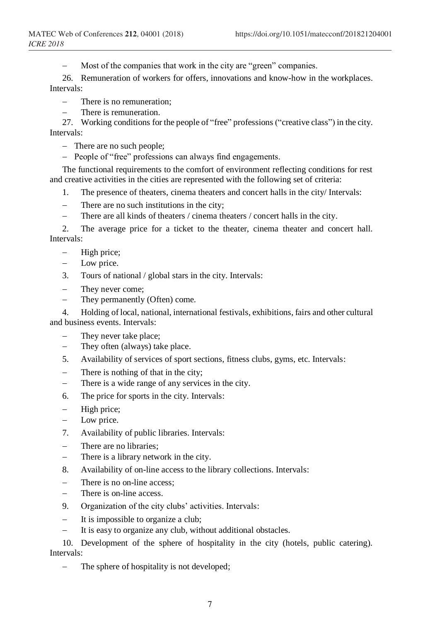Most of the companies that work in the city are "green" companies.

26. Remuneration of workers for offers, innovations and know-how in the workplaces. Intervals:

− There is no remuneration;

There is remuneration.

27. Working conditions for the people of "free" professions ("creative class") in the city. Intervals:

− There are no such people;

− People of "free" professions can always find engagements.

The functional requirements to the comfort of environment reflecting conditions for rest and creative activities in the cities are represented with the following set of criteria:

- 1. The presence of theaters, cinema theaters and concert halls in the city/ Intervals:
- − There are no such institutions in the city;
- There are all kinds of theaters / cinema theaters / concert halls in the city.

2. The average price for a ticket to the theater, cinema theater and concert hall. Intervals:

- − High price;
- − Low price.
- 3. Tours of national / global stars in the city. Intervals:
- − They never come;
- − They permanently (Often) come.

4. Holding of local, national, international festivals, exhibitions, fairs and other cultural and business events. Intervals:

- They never take place;
- − They often (always) take place.
- 5. Availability of services of sport sections, fitness clubs, gyms, etc. Intervals:
- There is nothing of that in the city;
- − There is a wide range of any services in the city.
- 6. The price for sports in the city. Intervals:
- High price;
- − Low price.
- 7. Availability of public libraries. Intervals:
- There are no libraries:
- − There is a library network in the city.
- 8. Availability of on-line access to the library collections. Intervals:
- There is no on-line access:
- There is on-line access.
- 9. Organization of the city clubs' activities. Intervals:
- − It is impossible to organize a club;
- It is easy to organize any club, without additional obstacles.

10. Development of the sphere of hospitality in the city (hotels, public catering). Intervals:

The sphere of hospitality is not developed;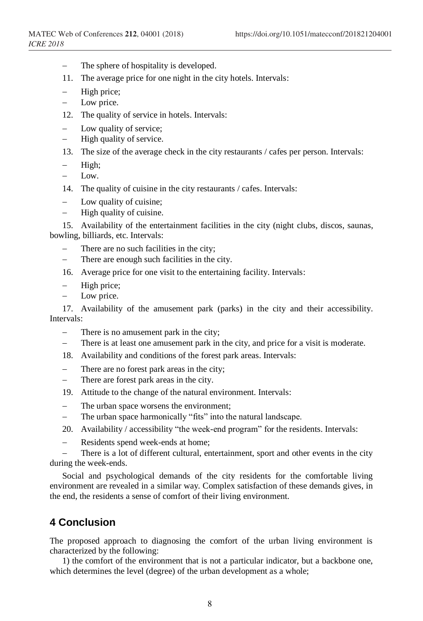- The sphere of hospitality is developed.
- 11. The average price for one night in the city hotels. Intervals:
- High price;
- − Low price.
- 12. The quality of service in hotels. Intervals:
- − Low quality of service;
- − High quality of service.
- 13. The size of the average check in the city restaurants / cafes per person. Intervals:
- − High;
- − Low.
- 14. The quality of cuisine in the city restaurants / cafes. Intervals:
- − Low quality of cuisine;
- − High quality of cuisine.

15. Availability of the entertainment facilities in the city (night clubs, discos, saunas, bowling, billiards, etc. Intervals:

- There are no such facilities in the city;
- − There are enough such facilities in the city.
- 16. Average price for one visit to the entertaining facility. Intervals:
- − High price;
- − Low price.

17. Availability of the amusement park (parks) in the city and their accessibility. Intervals:

- − There is no amusement park in the city;
- − There is at least one amusement park in the city, and price for a visit is moderate.
- 18. Availability and conditions of the forest park areas. Intervals:
- There are no forest park areas in the city;
- There are forest park areas in the city.
- 19. Attitude to the change of the natural environment. Intervals:
- The urban space worsens the environment;
- − The urban space harmonically "fits" into the natural landscape.
- 20. Availability / accessibility "the week-end program" for the residents. Intervals:
- − Residents spend week-ends at home;

− There is a lot of different cultural, entertainment, sport and other events in the city during the week-ends.

Social and psychological demands of the city residents for the comfortable living environment are revealed in a similar way. Complex satisfaction of these demands gives, in the end, the residents a sense of comfort of their living environment.

## **4 Conclusion**

The proposed approach to diagnosing the comfort of the urban living environment is characterized by the following:

1) the comfort of the environment that is not a particular indicator, but a backbone one, which determines the level (degree) of the urban development as a whole;